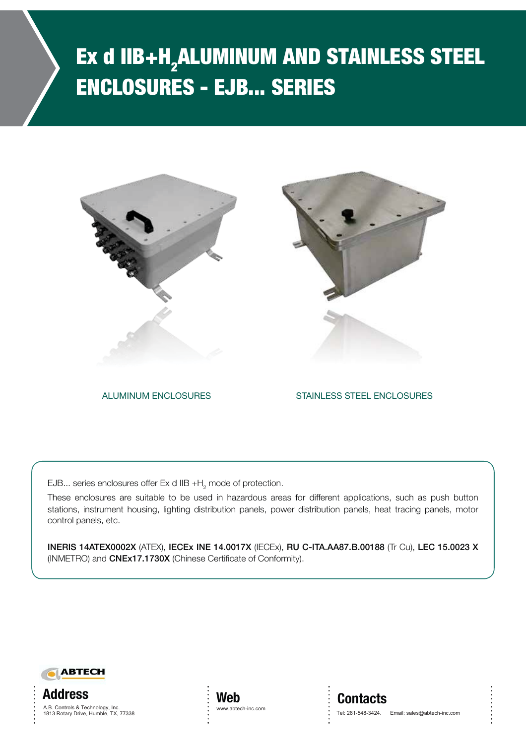# Ex d IIB+H<sub>2</sub>ALUMINUM AND STAINLESS STEEL ENCLOSURES - EJB... SERIES





ALUMINUM ENCLOSURES

STAINLESS STEEL ENCLOSURES ALUMINUM ENCLOSURES STAINLESS STEEL ENCLOSURES

EJB... series enclosures offer Ex d IIB  $+$ H $_{2}$  mode of protection.

These enclosures are suitable to be used in hazardous areas for different applications, such as push button stations, instrument housing, lighting distribution panels, power distribution panels, heat tracing panels, motor control panels, etc.

**INERIS 14ATEX0002X** (ATEX), **IECEx INE 14.0017X** (IECEx), **RU C-ITA.AA87.B.00188** (Tr Cu), **LEC 15.0023 X** (INMETRO) and **CNEx17.1730X** (Chinese Certificate of Conformity).







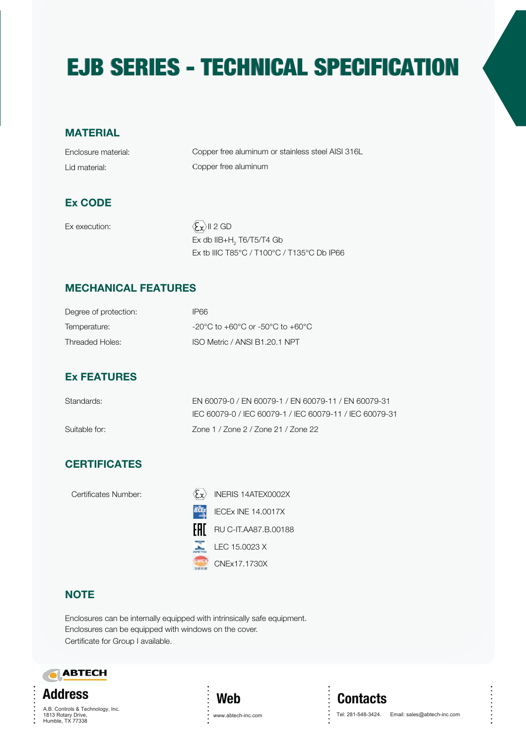# EJB SERIES - TECHNICAL SPECIFICATION EJB SERIES - TECHNICAL SPECIFICATION

### **MATERIAL**

Enclosure material: Lid material:

Copper free aluminum or stainless steel AISI 316L Copper free aluminum

### **Ex CODE**

Ex execution:  $\langle \mathbf{\hat{x}} \rangle$  II 2 GD

 x db IIB+H $_{\rm _2}$  T6/T5/T4 Gb Ex tb IIIC T85°C / T100°C / T135°C Db IP66

### **MECHANICAL FEATURES**

| Degree of protection: | IP66                                                                     |
|-----------------------|--------------------------------------------------------------------------|
| Temperature:          | $-20^{\circ}$ C to $+60^{\circ}$ C or $-50^{\circ}$ C to $+60^{\circ}$ C |
| Threaded Holes:       | ISO Metric / ANSI B1.20.1 NPT                                            |

### **Ex FEATURES**

| Standards:    | EN 60079-0 / EN 60079-1 / EN 60079-11 / EN 60079-31     |
|---------------|---------------------------------------------------------|
|               | IEC 60079-0 / IEC 60079-1 / IEC 60079-11 / IEC 60079-31 |
| Suitable for: | Zone 1 / Zone 2 / Zone 21 / Zone 22                     |

### **CERTIFICATES**

| Certificates Number: |     | INERIS 14ATEX0002X        |
|----------------------|-----|---------------------------|
|                      |     | <b>IECEX INE 14.0017X</b> |
|                      | FAL | RU C-IT.AA87.B.00188      |
|                      |     | LEC 15.0023 X             |
|                      |     | CNEx17.1730X              |

### **NOTE**

Enclosures can be internally equipped with intrinsically safe equipment. Enclosures can be equipped with windows on the cover. Certificate for Group I available.





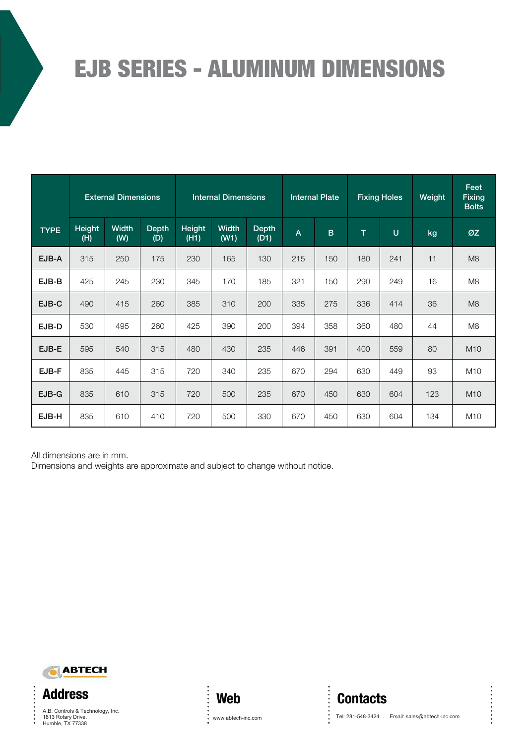|                                                                                                           | <b>EJB SERIES - ALUMINUM DIMENSIONS</b> |                            |              |                |                                  |                      |              |                       |                                       |                     |                             |                               |
|-----------------------------------------------------------------------------------------------------------|-----------------------------------------|----------------------------|--------------|----------------|----------------------------------|----------------------|--------------|-----------------------|---------------------------------------|---------------------|-----------------------------|-------------------------------|
|                                                                                                           |                                         |                            |              |                |                                  |                      |              |                       |                                       |                     |                             | Feet                          |
|                                                                                                           |                                         | <b>External Dimensions</b> |              |                | <b>Internal Dimensions</b>       |                      |              | <b>Internal Plate</b> |                                       | <b>Fixing Holes</b> | Weight                      | <b>Fixing</b><br><b>Bolts</b> |
| <b>TYPE</b>                                                                                               | <b>Height</b><br>(H)                    | <b>Width</b><br>(W)        | Depth<br>(D) | Height<br>(H1) | <b>Width</b><br>(W1)             | <b>Depth</b><br>(D1) | $\mathsf{A}$ | $\mathbf B$           | $\mathsf T$                           | $\mathsf U$         | kg                          | ØZ                            |
| EJB-A                                                                                                     | 315                                     | 250                        | 175          | 230            | 165                              | 130                  | 215          | 150                   | 180                                   | 241                 | 11                          | M <sub>8</sub>                |
| EJB-B                                                                                                     | 425                                     | 245                        | 230          | 345            | 170                              | 185                  | 321          | 150                   | 290                                   | 249                 | 16                          | M <sub>8</sub>                |
| EJB-C                                                                                                     | 490                                     | 415                        | 260          | 385            | 310                              | 200                  | 335          | 275                   | 336                                   | 414                 | 36                          | M8                            |
| EJB-D                                                                                                     | 530                                     | 495                        | 260          | 425            | 390                              | 200                  | 394          | 358                   | 360                                   | 480                 | 44                          | M <sub>8</sub>                |
| EJB-E                                                                                                     | 595                                     | 540                        | 315          | 480            | 430                              | 235                  | 446          | 391                   | 400                                   | 559                 | 80                          | M10                           |
| EJB-F                                                                                                     | 835                                     | 445                        | 315          | 720            | 340                              | 235                  | 670          | 294                   | 630                                   | 449                 | 93                          | M10                           |
| EJB-G                                                                                                     | 835                                     | 610                        | 315          | 720            | 500                              | 235                  | 670          | 450                   | 630                                   | 604                 | 123                         | M10                           |
| EJB-H                                                                                                     | 835                                     | 610                        | 410          | 720            | 500                              | 330                  | 670          | 450                   | 630                                   | 604                 | 134                         | M10                           |
| All dimensions are in mm.<br>Dimensions and weights are approximate and subject to change without notice. |                                         |                            |              |                |                                  |                      |              |                       |                                       |                     |                             |                               |
| <b>Address</b>                                                                                            | <b>ABTECH</b>                           |                            |              |                |                                  |                      |              |                       |                                       |                     |                             |                               |
| 1813 Rotary Drive,<br>Humble, TX 77338                                                                    | A.B. Controls & Technology, Inc.        |                            |              |                | <b>Web</b><br>www.abtech-inc.com |                      |              |                       | <b>Contacts</b><br>Tel: 281-548-3424. |                     | Email: sales@abtech-inc.com |                               |





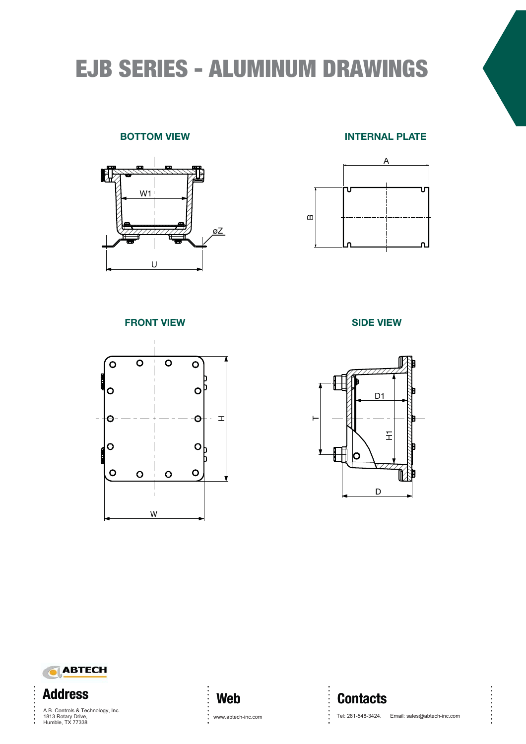# EJB SERIES - ALUMINUM DRAWINGS

### **BOTTOM VIEW**



#### **INTERNAL PLATE**



**FRONT VIEW**



**SIDE VIEW**





 $\ddot{\cdot}$ 

1813 Rotary Drive,<br>Uweble, TX 77339  $\sum_{i=1}^{n}$ 1813 Rotary Drive,<br>Humble, TX 77338



. . . . . . . . . . . .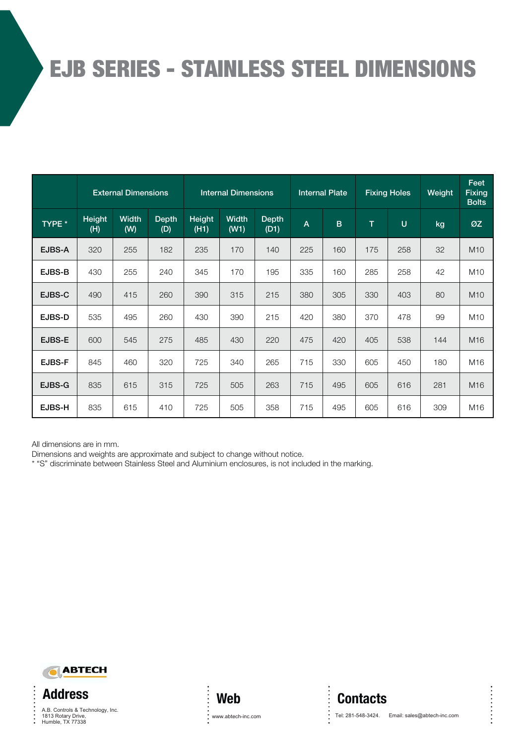# EJB SERIES - STAINLESS STEEL DIMENSIONS

|               |               | <b>External Dimensions</b> |                     | <b>Internal Dimensions</b> |                      |                      |                | <b>Internal Plate</b> | <b>Fixing Holes</b> |        | Weight | Feet<br><b>Fixing</b><br><b>Bolts</b> |
|---------------|---------------|----------------------------|---------------------|----------------------------|----------------------|----------------------|----------------|-----------------------|---------------------|--------|--------|---------------------------------------|
| TYPE *        | Height<br>(H) | Width<br>(W)               | <b>Depth</b><br>(D) | <b>Height</b><br>(H1)      | <b>Width</b><br>(W1) | <b>Depth</b><br>(D1) | $\overline{A}$ | $\mathbf B$           | T.                  | $\cup$ | kg     | ØZ                                    |
| EJBS-A        | 320           | 255                        | 182                 | 235                        | 170                  | 140                  | 225            | 160                   | 175                 | 258    | 32     | M <sub>10</sub>                       |
| EJBS-B        | 430           | 255                        | 240                 | 345                        | 170                  | 195                  | 335            | 160                   | 285                 | 258    | 42     | M <sub>10</sub>                       |
| EJBS-C        | 490           | 415                        | 260                 | 390                        | 315                  | 215                  | 380            | 305                   | 330                 | 403    | 80     | M <sub>10</sub>                       |
| EJBS-D        | 535           | 495                        | 260                 | 430                        | 390                  | 215                  | 420            | 380                   | 370                 | 478    | 99     | M <sub>10</sub>                       |
| EJBS-E        | 600           | 545                        | 275                 | 485                        | 430                  | 220                  | 475            | 420                   | 405                 | 538    | 144    | M16                                   |
| <b>EJBS-F</b> | 845           | 460                        | 320                 | 725                        | 340                  | 265                  | 715            | 330                   | 605                 | 450    | 180    | M16                                   |
| EJBS-G        | 835           | 615                        | 315                 | 725                        | 505                  | 263                  | 715            | 495                   | 605                 | 616    | 281    | M <sub>16</sub>                       |
| EJBS-H        | 835           | 615                        | 410                 | 725                        | 505                  | 358                  | 715            | 495                   | 605                 | 616    | 309    | M16                                   |

All dimensions are in mm.

Dimensions and weights are approximate and subject to change without notice.

\* "S" discriminate between Stainless Steel and Aluminium enclosures, is not included in the marking.



**Address** 1813 Rotary Drive,<br>1813 Rotary Drive,<br>Humble, TX 77338 via per dolza godiono - La per Dolzago, 21 - 23848 - Oggiono - La per Dolzago, 21 - Italy - La per Dolzago, 21<br>Altre del Carte del Carte del Carte del Carte del Carte del Carte del Carte del Carte del Carte del Carte del

 $\ddot{\cdot}$ 



**Contacts**

www.abtech-inc.com Tel: 281-548-3424. Email: sales@abtech-inc.com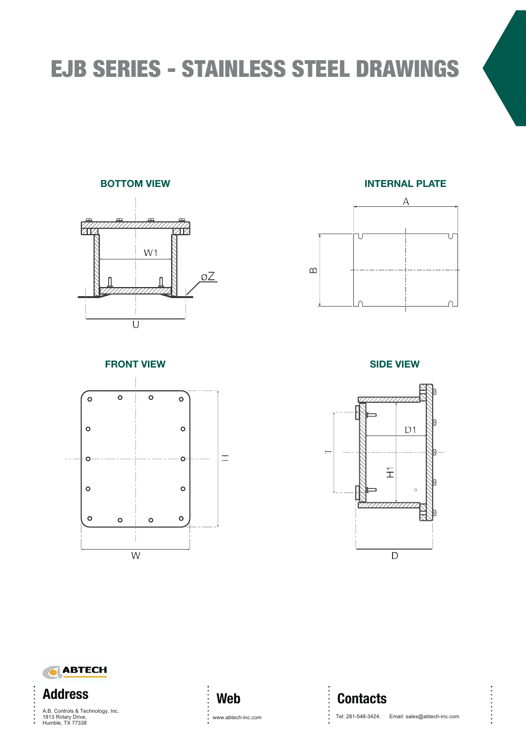# EJB SERIES - STAINLESS STEEL DRAWINGS

### **BOTTOM VIEW**



**INTERNAL PLATE**



**FRONT VIEW**



**SIDE VIEW**





1813 Rotary Drive,<br>USBN 27688  $V<sub>1</sub>$  and  $V<sub>2</sub>$ ,  $V<sub>1</sub>$   $V<sub>2</sub>$  or  $V<sub>3</sub>$ 1813 Rotary Drive,<br>1813 Rotary Drive,<br>Humble, TX 77338

 $\ddot{\cdot}$ 



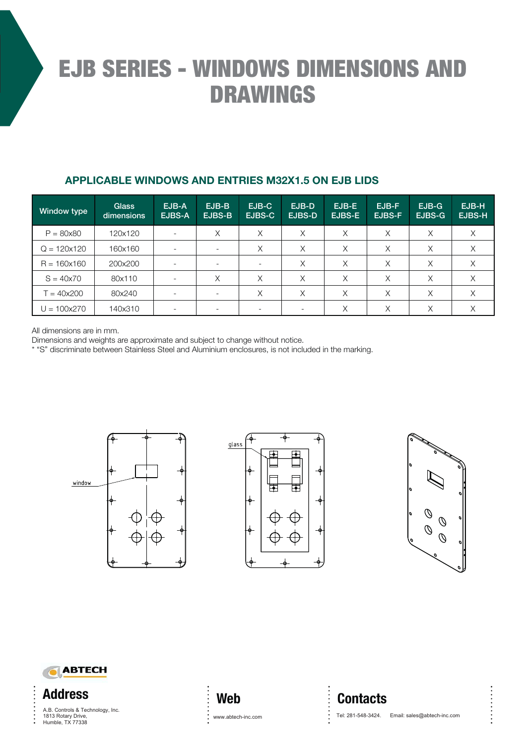# EJB SERIES - WINDOWS DIMENSIONS AND DRAWINGS

### **APPLICABLE WINDOWS AND ENTRIES M32X1.5 ON EJB LIDS**

| Window type          | <b>Glass</b><br>dimensions | EJB-A<br>EJBS-A          | EJB-B<br>EJBS-B | EJB-C<br>EJBS-C | EJB-D<br><b>EJBS-D</b>   | EJB-E<br><b>EJBS-E</b> | EJB-F<br><b>EJBS-F</b> | $EJB-G$<br>EJBS-G | EJB-H<br>EJBS-H |
|----------------------|----------------------------|--------------------------|-----------------|-----------------|--------------------------|------------------------|------------------------|-------------------|-----------------|
| $P = 80x80$          | 120x120                    |                          | Χ               | X               | X                        | X                      | X                      | X                 | X               |
| $Q = 120 \times 120$ | 160x160                    | $\overline{\phantom{a}}$ |                 | X               | X                        | X                      | X                      | X                 | Χ               |
| $R = 160x160$        | 200x200                    |                          |                 |                 | X                        | X                      | X                      | X                 | X               |
| $S = 40x70$          | 80x110                     |                          | X               | X               | X                        | Χ                      | Χ                      | Χ                 | Χ               |
| $T = 40x200$         | 80x240                     |                          |                 | X               | X                        | X                      | X                      | X                 | X               |
| $U = 100x270$        | 140x310                    |                          |                 |                 | $\overline{\phantom{0}}$ | Χ                      | Χ                      | Χ                 | Χ               |

All dimensions are in mm.

Dimensions and weights are approximate and subject to change without notice.

\* "S" discriminate between Stainless Steel and Aluminium enclosures, is not included in the marking.









1813 Rotary Drive,<br>Humble TX 77338 Via per Dolzago, 21 - 23848 - Oggiono - La Constantino - La Constantino - La Constantino - La Constantino - La Humble, TX 773388



www.abtech-inc.com Tel: 281-548-3424. Email: sales@abtech-inc.com

. . . . . . . . . . .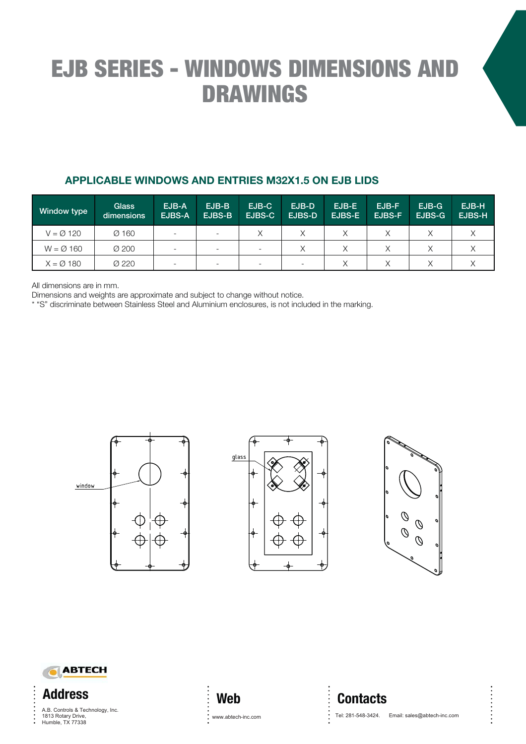# EJB SERIES - WINDOWS DIMENSIONS AND DRAWINGS

### **APPLICABLE WINDOWS AND ENTRIES M32X1.5 ON EJB LIDS**

| Window type         | <b>Glass</b><br>dimensions | EJB-A<br>EJBS-A          | $EJB-B$<br>EJBS-B        | EJB-C<br><b>EJBS-C</b> | EJB-D<br><b>EJBS-D</b> | EJB-E<br>EJBS-E | EJB-F<br>EJBS-F | $EJB-G$<br>EJBS-G | EJB-H<br><b>EJBS-H</b> |
|---------------------|----------------------------|--------------------------|--------------------------|------------------------|------------------------|-----------------|-----------------|-------------------|------------------------|
| $V = \emptyset$ 120 | $Ø$ 160                    | $\overline{\phantom{a}}$ |                          |                        |                        |                 |                 |                   |                        |
| $W = \emptyset$ 160 | $\varnothing$ 200          | $\overline{\phantom{0}}$ |                          |                        | $\times$               |                 |                 |                   |                        |
| $X = \emptyset$ 180 | Ø 220                      | $\overline{\phantom{0}}$ | $\overline{\phantom{0}}$ |                        |                        |                 |                 |                   |                        |

All dimensions are in mm.

Dimensions and weights are approximate and subject to change without notice.

\* "S" discriminate between Stainless Steel and Aluminium enclosures, is not included in the marking.









1813 Rotary Drive,<br>Humble, TX 77338 Via per Dolzago, 21 - 23848 - Oggiono - La Constantino - La Constantino - La Constantino - La Constantino - La

# **Web**

### **Contacts**

www.abtech-inc.com <br>Tel: 281-548-3424. Email: sales@abtech-inc.com <br>

. . . . . . . . . . .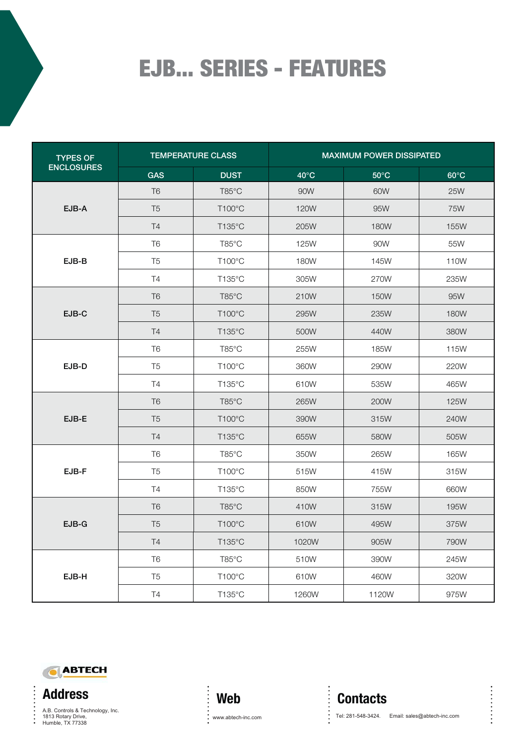# EJB... SERIES - FEATURES

| <b>TYPES OF</b>   |                | <b>TEMPERATURE CLASS</b> | <b>MAXIMUM POWER DISSIPATED</b> |                |                |  |  |  |
|-------------------|----------------|--------------------------|---------------------------------|----------------|----------------|--|--|--|
| <b>ENCLOSURES</b> | <b>GAS</b>     | <b>DUST</b>              | $40^{\circ}$ C                  | $50^{\circ}$ C | $60^{\circ}$ C |  |  |  |
|                   | T <sub>6</sub> | T85°C                    | 90W                             | 60W            | <b>25W</b>     |  |  |  |
| EJB-A             | T <sub>5</sub> | T100°C                   | 120W                            | 95W            | 75W            |  |  |  |
|                   | <b>T4</b>      | $T135^{\circ}$ C         | 205W                            | 180W           | 155W           |  |  |  |
|                   | T <sub>6</sub> | T85°C                    | 125W                            | 90W            | 55W            |  |  |  |
| EJB-B             | T <sub>5</sub> | T100°C                   | 180W                            | 145W           | 110W           |  |  |  |
|                   | <b>T4</b>      | T135°C                   | 305W                            | 270W           | 235W           |  |  |  |
|                   | T <sub>6</sub> | T85°C                    | 210W                            | <b>150W</b>    | 95W            |  |  |  |
| EJB-C             | T <sub>5</sub> | T100°C                   | 295W                            | 235W           | <b>180W</b>    |  |  |  |
|                   | <b>T4</b>      | $T135^{\circ}$ C         | 500W                            | 440W           | 380W           |  |  |  |
|                   | T <sub>6</sub> | T85°C                    | 255W                            | 185W           | 115W           |  |  |  |
| EJB-D             | T <sub>5</sub> | $T100^{\circ}$ C         | 360W                            | 290W           | 220W           |  |  |  |
|                   | T4             | T135°C                   | 610W                            | 535W           | 465W           |  |  |  |
|                   | T <sub>6</sub> | T85°C                    | 265W                            | 200W           | 125W           |  |  |  |
| EJB-E             | T <sub>5</sub> | T100°C                   | 390W                            | 315W           | 240W           |  |  |  |
|                   | <b>T4</b>      | T135°C                   | 655W                            | 580W           | 505W           |  |  |  |
|                   | T <sub>6</sub> | T85°C                    | 350W                            | 265W           | 165W           |  |  |  |
| EJB-F             | T <sub>5</sub> | T100°C                   | 515W                            | 415W           | 315W           |  |  |  |
|                   | T <sub>4</sub> | T135°C                   | 850W                            | 755W           | 660W           |  |  |  |
|                   | T <sub>6</sub> | T85°C                    | 410W                            | 315W           | 195W           |  |  |  |
| EJB-G             | T <sub>5</sub> | T100°C                   | 610W                            | 495W           | 375W           |  |  |  |
|                   | <b>T4</b>      | T135°C                   | 1020W                           | 905W           | 790W           |  |  |  |
|                   | T <sub>6</sub> | T85°C                    | 510W                            | 390W           | 245W           |  |  |  |
| EJB-H             | T <sub>5</sub> | $T100^{\circ}$ C         | 610W                            | 460W           | 320W           |  |  |  |
|                   | T4             | T135°C                   | 1260W                           | 1120W          | 975W           |  |  |  |



**Address** 1813 Rotary Drive,<br>1813 Rotary Drive,<br>Humble, TX 77338  $V_1$  and  $V_2$ ,  $V_1$   $V_2$   $V_3$   $V_4$   $V_5$   $V_6$   $V_7$   $V_8$   $V_9$   $V_9$   $V_9$   $V_9$   $V_9$   $V_9$   $V_9$   $V_9$   $V_9$   $V_9$   $V_9$   $V_9$   $V_9$   $V_9$   $V_9$   $V_9$   $V_9$   $V_9$   $V_9$   $V_9$   $V_9$   $V_9$   $V_9$   $V_9$   $V_9$   $V_9$ 

 $\ddot{\cdot}$ 



 $\ddot{\phantom{a}}$ 

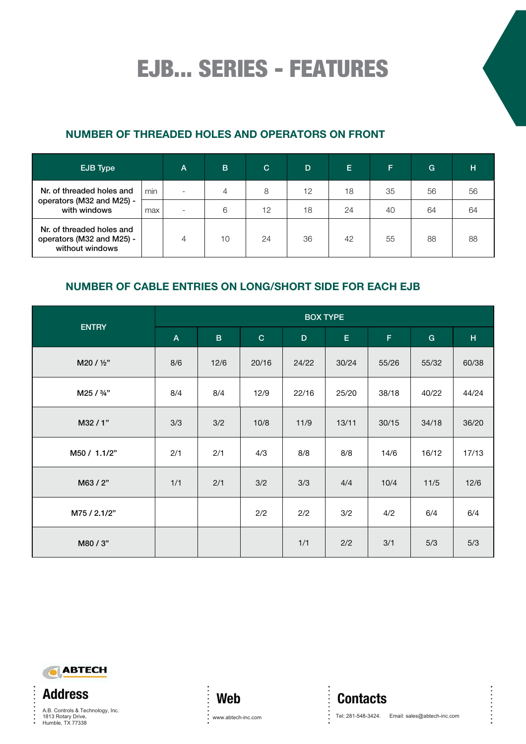EJB... SERIES - FEATURES

### **NUMBER OF THREADED HOLES AND OPERATORS ON FRONT**

| EJB Type                                                                  |     | $\overline{A}$ | B  | C  | D  | Е  | F  | G  | н  |
|---------------------------------------------------------------------------|-----|----------------|----|----|----|----|----|----|----|
| Nr. of threaded holes and                                                 | min |                | 4  | 8  | 12 | 18 | 35 | 56 | 56 |
| operators (M32 and M25) -<br>with windows                                 | max | -              | 6  | 12 | 18 | 24 | 40 | 64 | 64 |
| Nr. of threaded holes and<br>operators (M32 and M25) -<br>without windows |     | 4              | 10 | 24 | 36 | 42 | 55 | 88 | 88 |

### **NUMBER OF CABLE ENTRIES ON LONG/SHORT SIDE FOR EACH EJB**

|              |                | <b>BOX TYPE</b> |              |       |       |       |       |       |  |  |  |
|--------------|----------------|-----------------|--------------|-------|-------|-------|-------|-------|--|--|--|
| <b>ENTRY</b> | $\overline{A}$ | $\, {\bf B}$    | $\mathbf{C}$ | D     | E.    | F     | G     | H     |  |  |  |
| M20 / 1/2"   | 8/6            | 12/6            | 20/16        | 24/22 | 30/24 | 55/26 | 55/32 | 60/38 |  |  |  |
| M25 / 3/4"   | 8/4            | 8/4             | 12/9         | 22/16 | 25/20 | 38/18 | 40/22 | 44/24 |  |  |  |
| M32/1"       | 3/3            | 3/2             | 10/8         | 11/9  | 13/11 | 30/15 | 34/18 | 36/20 |  |  |  |
| M50 / 1.1/2" | 2/1            | 2/1             | 4/3          | 8/8   | 8/8   | 14/6  | 16/12 | 17/13 |  |  |  |
| M63/2"       | 1/1            | 2/1             | 3/2          | 3/3   | 4/4   | 10/4  | 11/5  | 12/6  |  |  |  |
| M75 / 2.1/2" |                |                 | 2/2          | 2/2   | 3/2   | 4/2   | 6/4   | 6/4   |  |  |  |
| M80 / 3"     |                |                 |              | 1/1   | 2/2   | 3/1   | 5/3   | 5/3   |  |  |  |



**Address** 1813 Rotary Drive,<br>1813 Rotary Drive,<br>Humble, TX 77338  $V_1$  and  $V_2$ ,  $V_1$   $V_2$   $V_3$   $V_4$   $V_5$   $V_6$   $V_7$   $V_8$   $V_9$   $V_9$   $V_9$   $V_9$   $V_9$   $V_9$   $V_9$   $V_9$   $V_9$   $V_9$   $V_9$   $V_9$   $V_9$   $V_9$   $V_9$   $V_9$   $V_9$   $V_9$   $V_9$   $V_9$   $V_9$   $V_9$   $V_9$   $V_9$   $V_9$   $V_9$ 

 $\ddot{\cdot}$ 



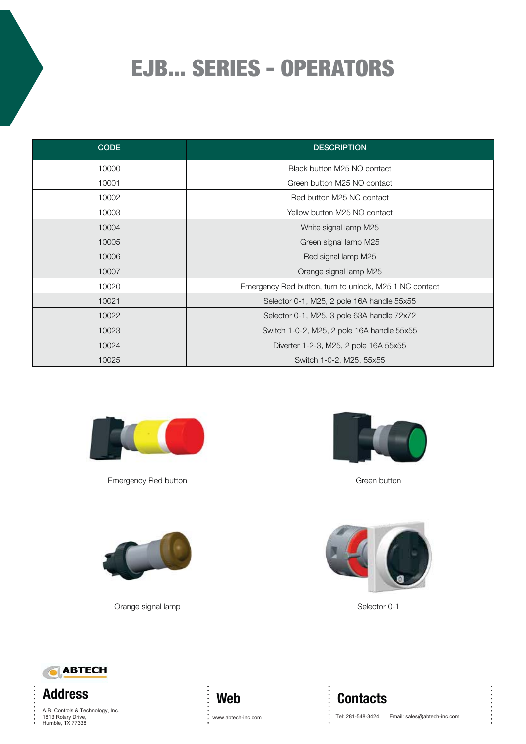# EJB... SERIES - OPERATORS

| <b>CODE</b> | <b>DESCRIPTION</b>                                     |
|-------------|--------------------------------------------------------|
| 10000       | Black button M25 NO contact                            |
| 10001       | Green button M25 NO contact                            |
| 10002       | Red button M25 NC contact                              |
| 10003       | Yellow button M25 NO contact                           |
| 10004       | White signal lamp M25                                  |
| 10005       | Green signal lamp M25                                  |
| 10006       | Red signal lamp M25                                    |
| 10007       | Orange signal lamp M25                                 |
| 10020       | Emergency Red button, turn to unlock, M25 1 NC contact |
| 10021       | Selector 0-1, M25, 2 pole 16A handle 55x55             |
| 10022       | Selector 0-1, M25, 3 pole 63A handle 72x72             |
| 10023       | Switch 1-0-2, M25, 2 pole 16A handle 55x55             |
| 10024       | Diverter 1-2-3, M25, 2 pole 16A 55x55                  |
| 10025       | Switch 1-0-2, M25, 55x55                               |



Emergency Red button Green button Green button





Orange signal lamp Selector 0-1





**Address** 1813 Rotary Drive,<br>Umrhia TV 77999  $V_1$  and  $V_2$   $V_3$   $V_4$   $V_5$   $V_6$   $V_7$   $V_8$   $V_9$   $V_9$   $V_9$   $V_9$   $V_9$   $V_9$   $V_9$   $V_9$   $V_9$   $V_9$   $V_9$   $V_9$   $V_9$   $V_9$   $V_9$   $V_9$   $V_9$   $V_9$   $V_9$   $V_9$   $V_9$   $V_9$   $V_9$   $V_9$   $V_9$   $V_9$   $V_9$   $V_9$  1813 Rotary Drive,<br>1813 Rotary Drive,<br>Humble, TX 77338

 $\ddot{\cdot}$ 



**Contacts** www.abtech-inc.com ... Tel: 281-548-3424. Email: sales@abtech-inc.com